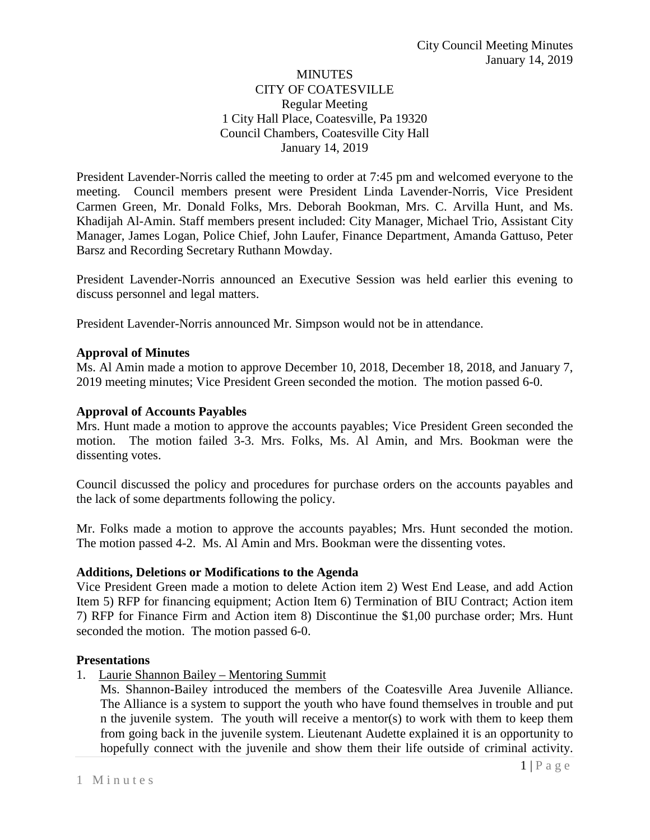# **MINUTES** CITY OF COATESVILLE Regular Meeting 1 City Hall Place, Coatesville, Pa 19320 Council Chambers, Coatesville City Hall January 14, 2019

President Lavender-Norris called the meeting to order at 7:45 pm and welcomed everyone to the meeting. Council members present were President Linda Lavender-Norris, Vice President Carmen Green, Mr. Donald Folks, Mrs. Deborah Bookman, Mrs. C. Arvilla Hunt, and Ms. Khadijah Al-Amin. Staff members present included: City Manager, Michael Trio, Assistant City Manager, James Logan, Police Chief, John Laufer, Finance Department, Amanda Gattuso, Peter Barsz and Recording Secretary Ruthann Mowday.

President Lavender-Norris announced an Executive Session was held earlier this evening to discuss personnel and legal matters.

President Lavender-Norris announced Mr. Simpson would not be in attendance.

## **Approval of Minutes**

Ms. Al Amin made a motion to approve December 10, 2018, December 18, 2018, and January 7, 2019 meeting minutes; Vice President Green seconded the motion. The motion passed 6-0.

# **Approval of Accounts Payables**

Mrs. Hunt made a motion to approve the accounts payables; Vice President Green seconded the motion. The motion failed 3-3. Mrs. Folks, Ms. Al Amin, and Mrs. Bookman were the dissenting votes.

Council discussed the policy and procedures for purchase orders on the accounts payables and the lack of some departments following the policy.

Mr. Folks made a motion to approve the accounts payables; Mrs. Hunt seconded the motion. The motion passed 4-2. Ms. Al Amin and Mrs. Bookman were the dissenting votes.

## **Additions, Deletions or Modifications to the Agenda**

Vice President Green made a motion to delete Action item 2) West End Lease, and add Action Item 5) RFP for financing equipment; Action Item 6) Termination of BIU Contract; Action item 7) RFP for Finance Firm and Action item 8) Discontinue the \$1,00 purchase order; Mrs. Hunt seconded the motion. The motion passed 6-0.

## **Presentations**

1. Laurie Shannon Bailey – Mentoring Summit

Ms. Shannon-Bailey introduced the members of the Coatesville Area Juvenile Alliance. The Alliance is a system to support the youth who have found themselves in trouble and put n the juvenile system. The youth will receive a mentor(s) to work with them to keep them from going back in the juvenile system. Lieutenant Audette explained it is an opportunity to hopefully connect with the juvenile and show them their life outside of criminal activity.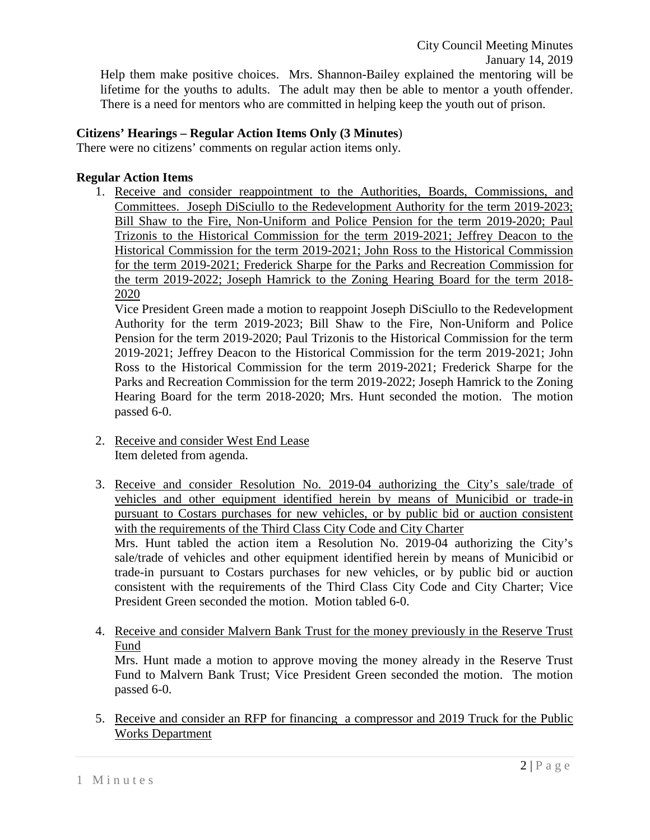# **Citizens' Hearings – Regular Action Items Only (3 Minutes**)

There were no citizens' comments on regular action items only.

## **Regular Action Items**

1. Receive and consider reappointment to the Authorities, Boards, Commissions, and Committees. Joseph DiSciullo to the Redevelopment Authority for the term 2019-2023; Bill Shaw to the Fire, Non-Uniform and Police Pension for the term 2019-2020; Paul Trizonis to the Historical Commission for the term 2019-2021; Jeffrey Deacon to the Historical Commission for the term 2019-2021; John Ross to the Historical Commission for the term 2019-2021; Frederick Sharpe for the Parks and Recreation Commission for the term 2019-2022; Joseph Hamrick to the Zoning Hearing Board for the term 2018- 2020

Vice President Green made a motion to reappoint Joseph DiSciullo to the Redevelopment Authority for the term 2019-2023; Bill Shaw to the Fire, Non-Uniform and Police Pension for the term 2019-2020; Paul Trizonis to the Historical Commission for the term 2019-2021; Jeffrey Deacon to the Historical Commission for the term 2019-2021; John Ross to the Historical Commission for the term 2019-2021; Frederick Sharpe for the Parks and Recreation Commission for the term 2019-2022; Joseph Hamrick to the Zoning Hearing Board for the term 2018-2020; Mrs. Hunt seconded the motion. The motion passed 6-0.

- 2. Receive and consider West End Lease Item deleted from agenda.
- 3. Receive and consider Resolution No. 2019-04 authorizing the City's sale/trade of vehicles and other equipment identified herein by means of Municibid or trade-in pursuant to Costars purchases for new vehicles, or by public bid or auction consistent with the requirements of the Third Class City Code and City Charter Mrs. Hunt tabled the action item a Resolution No. 2019-04 authorizing the City's sale/trade of vehicles and other equipment identified herein by means of Municibid or trade-in pursuant to Costars purchases for new vehicles, or by public bid or auction consistent with the requirements of the Third Class City Code and City Charter; Vice President Green seconded the motion. Motion tabled 6-0.
- 4. Receive and consider Malvern Bank Trust for the money previously in the Reserve Trust Fund

Mrs. Hunt made a motion to approve moving the money already in the Reserve Trust Fund to Malvern Bank Trust; Vice President Green seconded the motion. The motion passed 6-0.

5. Receive and consider an RFP for financing a compressor and 2019 Truck for the Public Works Department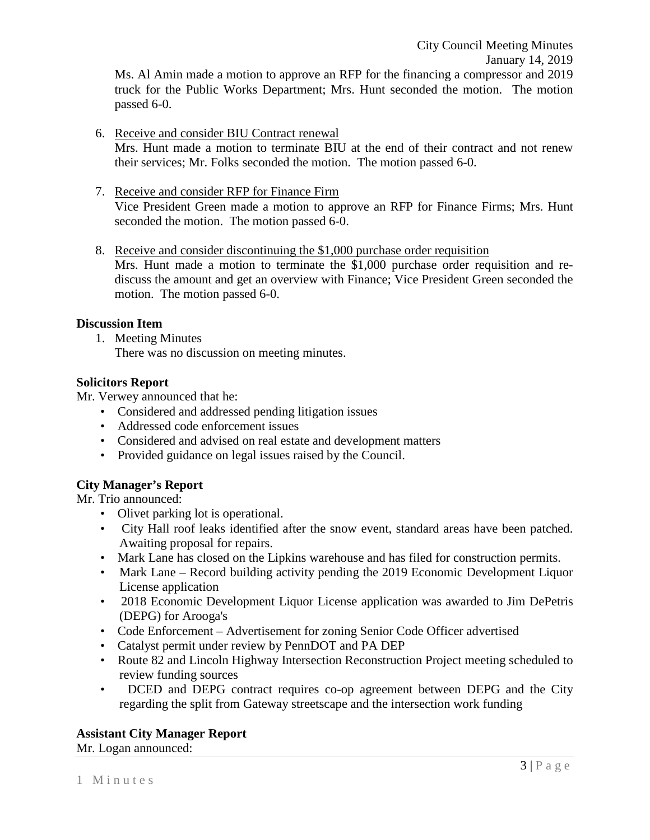City Council Meeting Minutes January 14, 2019 Ms. Al Amin made a motion to approve an RFP for the financing a compressor and 2019 truck for the Public Works Department; Mrs. Hunt seconded the motion. The motion passed 6-0.

## 6. Receive and consider BIU Contract renewal

Mrs. Hunt made a motion to terminate BIU at the end of their contract and not renew their services; Mr. Folks seconded the motion. The motion passed 6-0.

- 7. Receive and consider RFP for Finance Firm Vice President Green made a motion to approve an RFP for Finance Firms; Mrs. Hunt seconded the motion. The motion passed 6-0.
- 8. Receive and consider discontinuing the \$1,000 purchase order requisition Mrs. Hunt made a motion to terminate the \$1,000 purchase order requisition and rediscuss the amount and get an overview with Finance; Vice President Green seconded the motion. The motion passed 6-0.

## **Discussion Item**

1. Meeting Minutes

There was no discussion on meeting minutes.

#### **Solicitors Report**

Mr. Verwey announced that he:

- Considered and addressed pending litigation issues
- Addressed code enforcement issues
- Considered and advised on real estate and development matters
- Provided guidance on legal issues raised by the Council.

## **City Manager's Report**

Mr. Trio announced:

- Olivet parking lot is operational.
- City Hall roof leaks identified after the snow event, standard areas have been patched. Awaiting proposal for repairs.
- Mark Lane has closed on the Lipkins warehouse and has filed for construction permits.
- Mark Lane Record building activity pending the 2019 Economic Development Liquor License application
- 2018 Economic Development Liquor License application was awarded to Jim DePetris (DEPG) for Arooga's
- Code Enforcement Advertisement for zoning Senior Code Officer advertised
- Catalyst permit under review by PennDOT and PA DEP
- Route 82 and Lincoln Highway Intersection Reconstruction Project meeting scheduled to review funding sources
- DCED and DEPG contract requires co-op agreement between DEPG and the City regarding the split from Gateway streetscape and the intersection work funding

#### **Assistant City Manager Report**

Mr. Logan announced: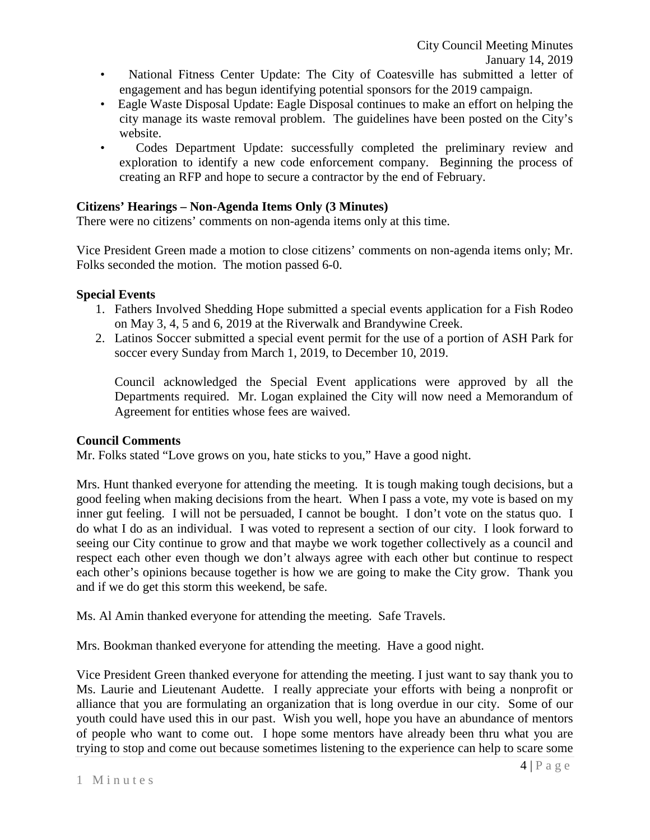- National Fitness Center Update: The City of Coatesville has submitted a letter of engagement and has begun identifying potential sponsors for the 2019 campaign.
- Eagle Waste Disposal Update: Eagle Disposal continues to make an effort on helping the city manage its waste removal problem. The guidelines have been posted on the City's website.
- Codes Department Update: successfully completed the preliminary review and exploration to identify a new code enforcement company. Beginning the process of creating an RFP and hope to secure a contractor by the end of February.

# **Citizens' Hearings – Non-Agenda Items Only (3 Minutes)**

There were no citizens' comments on non-agenda items only at this time.

Vice President Green made a motion to close citizens' comments on non-agenda items only; Mr. Folks seconded the motion. The motion passed 6-0.

## **Special Events**

- 1. Fathers Involved Shedding Hope submitted a special events application for a Fish Rodeo on May 3, 4, 5 and 6, 2019 at the Riverwalk and Brandywine Creek.
- 2. Latinos Soccer submitted a special event permit for the use of a portion of ASH Park for soccer every Sunday from March 1, 2019, to December 10, 2019.

Council acknowledged the Special Event applications were approved by all the Departments required. Mr. Logan explained the City will now need a Memorandum of Agreement for entities whose fees are waived.

## **Council Comments**

Mr. Folks stated "Love grows on you, hate sticks to you," Have a good night.

Mrs. Hunt thanked everyone for attending the meeting. It is tough making tough decisions, but a good feeling when making decisions from the heart. When I pass a vote, my vote is based on my inner gut feeling. I will not be persuaded, I cannot be bought. I don't vote on the status quo. I do what I do as an individual. I was voted to represent a section of our city. I look forward to seeing our City continue to grow and that maybe we work together collectively as a council and respect each other even though we don't always agree with each other but continue to respect each other's opinions because together is how we are going to make the City grow. Thank you and if we do get this storm this weekend, be safe.

Ms. Al Amin thanked everyone for attending the meeting. Safe Travels.

Mrs. Bookman thanked everyone for attending the meeting. Have a good night.

Vice President Green thanked everyone for attending the meeting. I just want to say thank you to Ms. Laurie and Lieutenant Audette. I really appreciate your efforts with being a nonprofit or alliance that you are formulating an organization that is long overdue in our city. Some of our youth could have used this in our past. Wish you well, hope you have an abundance of mentors of people who want to come out. I hope some mentors have already been thru what you are trying to stop and come out because sometimes listening to the experience can help to scare some